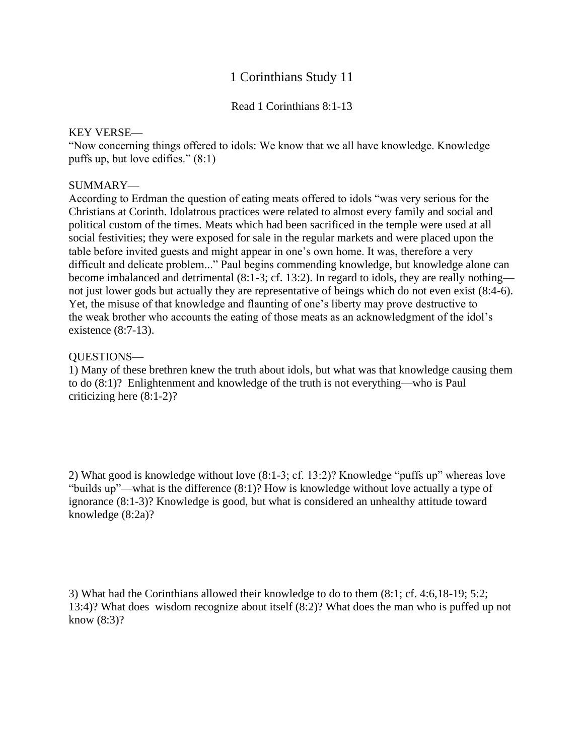## 1 Corinthians Study 11

Read 1 Corinthians 8:1-13

## KEY VERSE—

"Now concerning things offered to idols: We know that we all have knowledge. Knowledge puffs up, but love edifies." (8:1)

## SUMMARY—

According to Erdman the question of eating meats offered to idols "was very serious for the Christians at Corinth. Idolatrous practices were related to almost every family and social and political custom of the times. Meats which had been sacrificed in the temple were used at all social festivities; they were exposed for sale in the regular markets and were placed upon the table before invited guests and might appear in one's own home. It was, therefore a very difficult and delicate problem..." Paul begins commending knowledge, but knowledge alone can become imbalanced and detrimental (8:1-3; cf. 13:2). In regard to idols, they are really nothing not just lower gods but actually they are representative of beings which do not even exist (8:4-6). Yet, the misuse of that knowledge and flaunting of one's liberty may prove destructive to the weak brother who accounts the eating of those meats as an acknowledgment of the idol's existence (8:7-13).

## QUESTIONS—

1) Many of these brethren knew the truth about idols, but what was that knowledge causing them to do (8:1)? Enlightenment and knowledge of the truth is not everything—who is Paul criticizing here (8:1-2)?

2) What good is knowledge without love (8:1-3; cf. 13:2)? Knowledge "puffs up" whereas love "builds up"—what is the difference (8:1)? How is knowledge without love actually a type of ignorance (8:1-3)? Knowledge is good, but what is considered an unhealthy attitude toward knowledge (8:2a)?

3) What had the Corinthians allowed their knowledge to do to them (8:1; cf. 4:6,18-19; 5:2; 13:4)? What does wisdom recognize about itself (8:2)? What does the man who is puffed up not know (8:3)?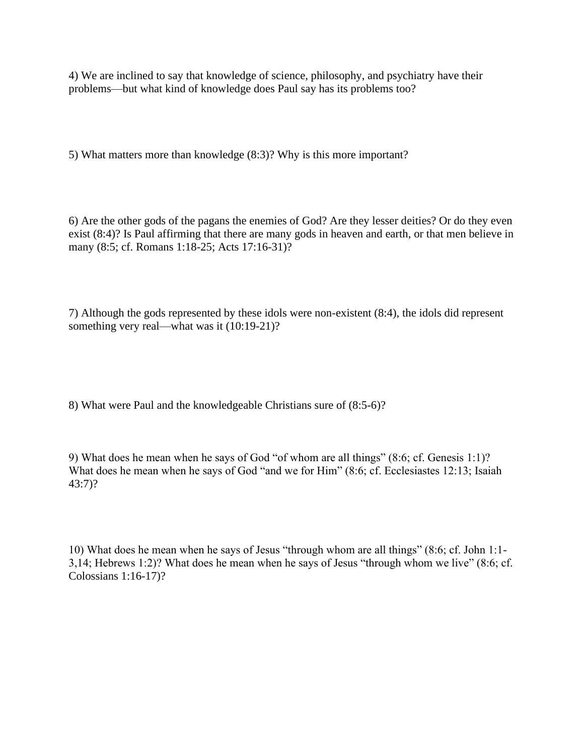4) We are inclined to say that knowledge of science, philosophy, and psychiatry have their problems—but what kind of knowledge does Paul say has its problems too?

5) What matters more than knowledge (8:3)? Why is this more important?

6) Are the other gods of the pagans the enemies of God? Are they lesser deities? Or do they even exist (8:4)? Is Paul affirming that there are many gods in heaven and earth, or that men believe in many (8:5; cf. Romans 1:18-25; Acts 17:16-31)?

7) Although the gods represented by these idols were non-existent (8:4), the idols did represent something very real—what was it (10:19-21)?

8) What were Paul and the knowledgeable Christians sure of (8:5-6)?

9) What does he mean when he says of God "of whom are all things" (8:6; cf. Genesis 1:1)? What does he mean when he says of God "and we for Him" (8:6; cf. Ecclesiastes 12:13; Isaiah 43:7)?

10) What does he mean when he says of Jesus "through whom are all things" (8:6; cf. John 1:1- 3,14; Hebrews 1:2)? What does he mean when he says of Jesus "through whom we live" (8:6; cf. Colossians 1:16-17)?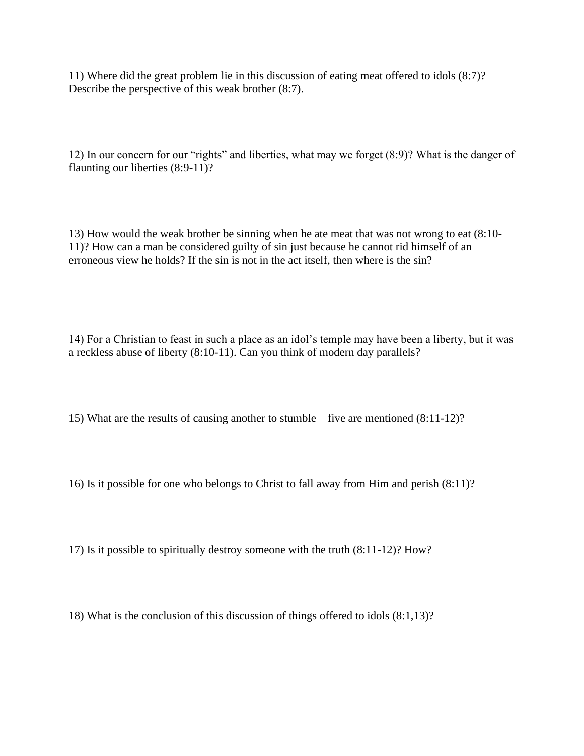11) Where did the great problem lie in this discussion of eating meat offered to idols (8:7)? Describe the perspective of this weak brother (8:7).

12) In our concern for our "rights" and liberties, what may we forget (8:9)? What is the danger of flaunting our liberties (8:9-11)?

13) How would the weak brother be sinning when he ate meat that was not wrong to eat (8:10- 11)? How can a man be considered guilty of sin just because he cannot rid himself of an erroneous view he holds? If the sin is not in the act itself, then where is the sin?

14) For a Christian to feast in such a place as an idol's temple may have been a liberty, but it was a reckless abuse of liberty (8:10-11). Can you think of modern day parallels?

15) What are the results of causing another to stumble—five are mentioned (8:11-12)?

16) Is it possible for one who belongs to Christ to fall away from Him and perish (8:11)?

17) Is it possible to spiritually destroy someone with the truth (8:11-12)? How?

18) What is the conclusion of this discussion of things offered to idols (8:1,13)?